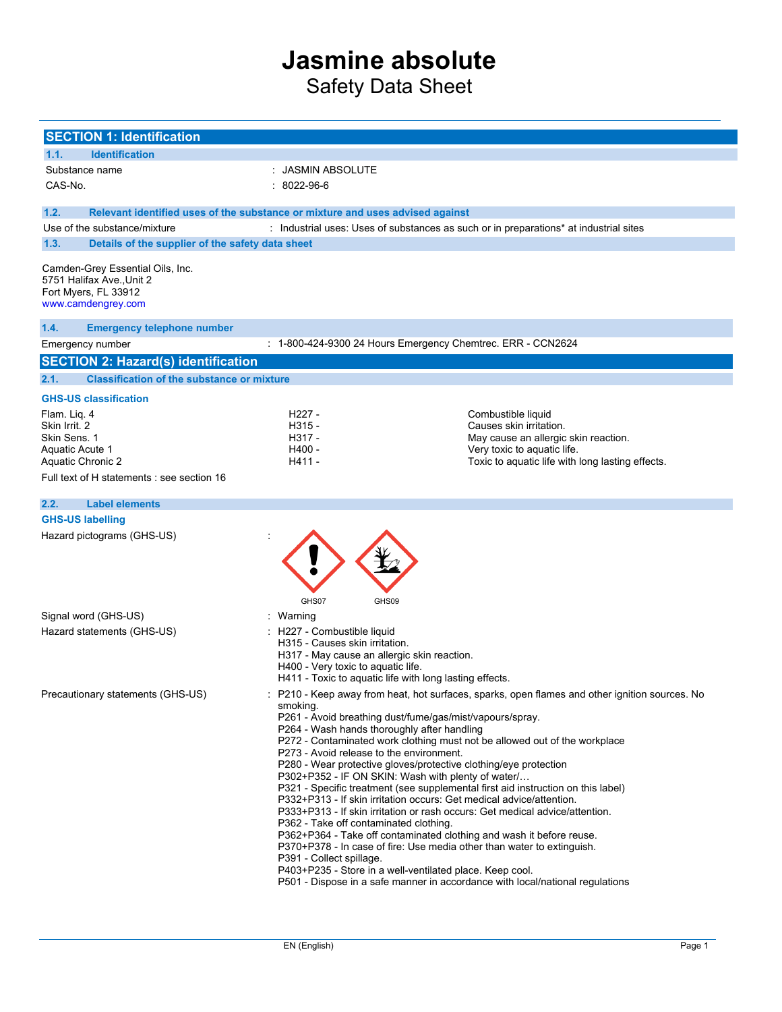Safety Data Sheet

| <b>SECTION 1: Identification</b>                                                                            |                                                                                                                                                                                                                                                                                                                                                                                                                                                                                                                                                                                                                                                                                                                                                                                                                                                                                                                                                                                          |                                                                                              |
|-------------------------------------------------------------------------------------------------------------|------------------------------------------------------------------------------------------------------------------------------------------------------------------------------------------------------------------------------------------------------------------------------------------------------------------------------------------------------------------------------------------------------------------------------------------------------------------------------------------------------------------------------------------------------------------------------------------------------------------------------------------------------------------------------------------------------------------------------------------------------------------------------------------------------------------------------------------------------------------------------------------------------------------------------------------------------------------------------------------|----------------------------------------------------------------------------------------------|
| <b>Identification</b><br>1.1.                                                                               |                                                                                                                                                                                                                                                                                                                                                                                                                                                                                                                                                                                                                                                                                                                                                                                                                                                                                                                                                                                          |                                                                                              |
| Substance name                                                                                              | : JASMIN ABSOLUTE                                                                                                                                                                                                                                                                                                                                                                                                                                                                                                                                                                                                                                                                                                                                                                                                                                                                                                                                                                        |                                                                                              |
| CAS-No.                                                                                                     | $: 8022 - 96 - 6$                                                                                                                                                                                                                                                                                                                                                                                                                                                                                                                                                                                                                                                                                                                                                                                                                                                                                                                                                                        |                                                                                              |
| 1.2.                                                                                                        | Relevant identified uses of the substance or mixture and uses advised against                                                                                                                                                                                                                                                                                                                                                                                                                                                                                                                                                                                                                                                                                                                                                                                                                                                                                                            |                                                                                              |
| Use of the substance/mixture                                                                                | : Industrial uses: Uses of substances as such or in preparations* at industrial sites                                                                                                                                                                                                                                                                                                                                                                                                                                                                                                                                                                                                                                                                                                                                                                                                                                                                                                    |                                                                                              |
| 1.3.<br>Details of the supplier of the safety data sheet                                                    |                                                                                                                                                                                                                                                                                                                                                                                                                                                                                                                                                                                                                                                                                                                                                                                                                                                                                                                                                                                          |                                                                                              |
| Camden-Grey Essential Oils, Inc.<br>5751 Halifax Ave., Unit 2<br>Fort Myers, FL 33912<br>www.camdengrey.com |                                                                                                                                                                                                                                                                                                                                                                                                                                                                                                                                                                                                                                                                                                                                                                                                                                                                                                                                                                                          |                                                                                              |
| 1.4.<br><b>Emergency telephone number</b>                                                                   |                                                                                                                                                                                                                                                                                                                                                                                                                                                                                                                                                                                                                                                                                                                                                                                                                                                                                                                                                                                          |                                                                                              |
| Emergency number                                                                                            | : 1-800-424-9300 24 Hours Emergency Chemtrec. ERR - CCN2624                                                                                                                                                                                                                                                                                                                                                                                                                                                                                                                                                                                                                                                                                                                                                                                                                                                                                                                              |                                                                                              |
| <b>SECTION 2: Hazard(s) identification</b>                                                                  |                                                                                                                                                                                                                                                                                                                                                                                                                                                                                                                                                                                                                                                                                                                                                                                                                                                                                                                                                                                          |                                                                                              |
| <b>Classification of the substance or mixture</b><br>2.1.                                                   |                                                                                                                                                                                                                                                                                                                                                                                                                                                                                                                                                                                                                                                                                                                                                                                                                                                                                                                                                                                          |                                                                                              |
| <b>GHS-US classification</b>                                                                                |                                                                                                                                                                                                                                                                                                                                                                                                                                                                                                                                                                                                                                                                                                                                                                                                                                                                                                                                                                                          |                                                                                              |
| Flam. Liq. 4<br>Skin Irrit. 2                                                                               | H227 -                                                                                                                                                                                                                                                                                                                                                                                                                                                                                                                                                                                                                                                                                                                                                                                                                                                                                                                                                                                   | Combustible liquid<br>Causes skin irritation.                                                |
| Skin Sens. 1                                                                                                | H315 -<br>H317 -                                                                                                                                                                                                                                                                                                                                                                                                                                                                                                                                                                                                                                                                                                                                                                                                                                                                                                                                                                         | May cause an allergic skin reaction.                                                         |
| Aquatic Acute 1                                                                                             | H400-                                                                                                                                                                                                                                                                                                                                                                                                                                                                                                                                                                                                                                                                                                                                                                                                                                                                                                                                                                                    | Very toxic to aquatic life.                                                                  |
| Aquatic Chronic 2<br>Full text of H statements : see section 16                                             | H411 -                                                                                                                                                                                                                                                                                                                                                                                                                                                                                                                                                                                                                                                                                                                                                                                                                                                                                                                                                                                   | Toxic to aquatic life with long lasting effects.                                             |
|                                                                                                             |                                                                                                                                                                                                                                                                                                                                                                                                                                                                                                                                                                                                                                                                                                                                                                                                                                                                                                                                                                                          |                                                                                              |
| 2.2.<br><b>Label elements</b>                                                                               |                                                                                                                                                                                                                                                                                                                                                                                                                                                                                                                                                                                                                                                                                                                                                                                                                                                                                                                                                                                          |                                                                                              |
| <b>GHS-US labelling</b>                                                                                     |                                                                                                                                                                                                                                                                                                                                                                                                                                                                                                                                                                                                                                                                                                                                                                                                                                                                                                                                                                                          |                                                                                              |
| Hazard pictograms (GHS-US)                                                                                  | GHS07<br>GHS09                                                                                                                                                                                                                                                                                                                                                                                                                                                                                                                                                                                                                                                                                                                                                                                                                                                                                                                                                                           |                                                                                              |
| Signal word (GHS-US)                                                                                        | Warning                                                                                                                                                                                                                                                                                                                                                                                                                                                                                                                                                                                                                                                                                                                                                                                                                                                                                                                                                                                  |                                                                                              |
| Hazard statements (GHS-US)                                                                                  | : H227 - Combustible liquid<br>H315 - Causes skin irritation.<br>H317 - May cause an allergic skin reaction.<br>H400 - Very toxic to aquatic life.<br>H411 - Toxic to aquatic life with long lasting effects.                                                                                                                                                                                                                                                                                                                                                                                                                                                                                                                                                                                                                                                                                                                                                                            |                                                                                              |
| Precautionary statements (GHS-US)                                                                           | smoking.<br>P261 - Avoid breathing dust/fume/gas/mist/vapours/spray.<br>P264 - Wash hands thoroughly after handling<br>P272 - Contaminated work clothing must not be allowed out of the workplace<br>P273 - Avoid release to the environment.<br>P280 - Wear protective gloves/protective clothing/eye protection<br>P302+P352 - IF ON SKIN: Wash with plenty of water/<br>P321 - Specific treatment (see supplemental first aid instruction on this label)<br>P332+P313 - If skin irritation occurs: Get medical advice/attention.<br>P333+P313 - If skin irritation or rash occurs: Get medical advice/attention.<br>P362 - Take off contaminated clothing.<br>P362+P364 - Take off contaminated clothing and wash it before reuse.<br>P370+P378 - In case of fire: Use media other than water to extinguish.<br>P391 - Collect spillage.<br>P403+P235 - Store in a well-ventilated place. Keep cool.<br>P501 - Dispose in a safe manner in accordance with local/national regulations | P210 - Keep away from heat, hot surfaces, sparks, open flames and other ignition sources. No |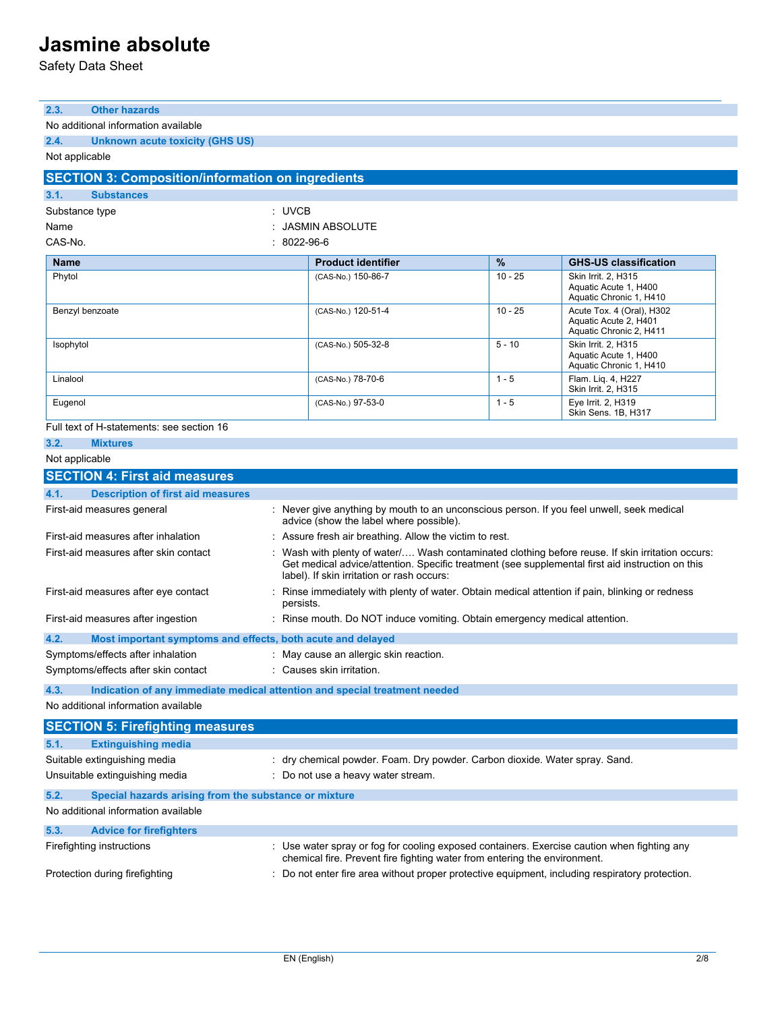Safety Data Sheet

| 2.3.<br><b>Other hazards</b>                                        |                                                                                                                                                                                                                                                    |           |                                                                               |
|---------------------------------------------------------------------|----------------------------------------------------------------------------------------------------------------------------------------------------------------------------------------------------------------------------------------------------|-----------|-------------------------------------------------------------------------------|
| No additional information available                                 |                                                                                                                                                                                                                                                    |           |                                                                               |
| 2.4.<br><b>Unknown acute toxicity (GHS US)</b>                      |                                                                                                                                                                                                                                                    |           |                                                                               |
| Not applicable                                                      |                                                                                                                                                                                                                                                    |           |                                                                               |
| <b>SECTION 3: Composition/information on ingredients</b>            |                                                                                                                                                                                                                                                    |           |                                                                               |
| 3.1.<br><b>Substances</b>                                           |                                                                                                                                                                                                                                                    |           |                                                                               |
| Substance type                                                      | : UVCB                                                                                                                                                                                                                                             |           |                                                                               |
| Name                                                                | : JASMIN ABSOLUTE                                                                                                                                                                                                                                  |           |                                                                               |
| CAS-No.                                                             | $: 8022 - 96 - 6$                                                                                                                                                                                                                                  |           |                                                                               |
| <b>Name</b>                                                         | <b>Product identifier</b>                                                                                                                                                                                                                          | %         | <b>GHS-US classification</b>                                                  |
| Phytol                                                              | (CAS-No.) 150-86-7                                                                                                                                                                                                                                 | $10 - 25$ | Skin Irrit. 2, H315<br>Aquatic Acute 1, H400<br>Aquatic Chronic 1, H410       |
| Benzyl benzoate                                                     | (CAS-No.) 120-51-4                                                                                                                                                                                                                                 | $10 - 25$ | Acute Tox. 4 (Oral), H302<br>Aquatic Acute 2, H401<br>Aquatic Chronic 2, H411 |
| Isophytol                                                           | (CAS-No.) 505-32-8                                                                                                                                                                                                                                 | $5 - 10$  | Skin Irrit. 2, H315<br>Aquatic Acute 1, H400<br>Aquatic Chronic 1, H410       |
| Linalool                                                            | (CAS-No.) 78-70-6                                                                                                                                                                                                                                  | $1 - 5$   | Flam. Liq. 4, H227<br>Skin Irrit. 2, H315                                     |
| Eugenol                                                             | (CAS-No.) 97-53-0                                                                                                                                                                                                                                  | $1 - 5$   | Eye Irrit. 2, H319<br>Skin Sens. 1B. H317                                     |
| Full text of H-statements: see section 16                           |                                                                                                                                                                                                                                                    |           |                                                                               |
| 3.2.<br><b>Mixtures</b>                                             |                                                                                                                                                                                                                                                    |           |                                                                               |
| Not applicable                                                      |                                                                                                                                                                                                                                                    |           |                                                                               |
| <b>SECTION 4: First aid measures</b>                                |                                                                                                                                                                                                                                                    |           |                                                                               |
| 4.1.<br><b>Description of first aid measures</b>                    |                                                                                                                                                                                                                                                    |           |                                                                               |
| First-aid measures general                                          | : Never give anything by mouth to an unconscious person. If you feel unwell, seek medical<br>advice (show the label where possible).                                                                                                               |           |                                                                               |
| First-aid measures after inhalation                                 | : Assure fresh air breathing. Allow the victim to rest.                                                                                                                                                                                            |           |                                                                               |
| First-aid measures after skin contact                               | : Wash with plenty of water/ Wash contaminated clothing before reuse. If skin irritation occurs:<br>Get medical advice/attention. Specific treatment (see supplemental first aid instruction on this<br>label). If skin irritation or rash occurs: |           |                                                                               |
| First-aid measures after eye contact                                | : Rinse immediately with plenty of water. Obtain medical attention if pain, blinking or redness<br>persists.                                                                                                                                       |           |                                                                               |
| First-aid measures after ingestion                                  | : Rinse mouth. Do NOT induce vomiting. Obtain emergency medical attention.                                                                                                                                                                         |           |                                                                               |
| 4.2.<br>Most important symptoms and effects, both acute and delayed |                                                                                                                                                                                                                                                    |           |                                                                               |
| Symptoms/effects after inhalation                                   | : May cause an allergic skin reaction.                                                                                                                                                                                                             |           |                                                                               |
| Symptoms/effects after skin contact                                 | : Causes skin irritation.                                                                                                                                                                                                                          |           |                                                                               |
| 4.3.                                                                | Indication of any immediate medical attention and special treatment needed                                                                                                                                                                         |           |                                                                               |
| No additional information available                                 |                                                                                                                                                                                                                                                    |           |                                                                               |
| <b>SECTION 5: Firefighting measures</b>                             |                                                                                                                                                                                                                                                    |           |                                                                               |
| <b>Extinguishing media</b><br>5.1.                                  |                                                                                                                                                                                                                                                    |           |                                                                               |
| Suitable extinguishing media                                        | : dry chemical powder. Foam. Dry powder. Carbon dioxide. Water spray. Sand.                                                                                                                                                                        |           |                                                                               |
| Unsuitable extinguishing media                                      | : Do not use a heavy water stream.                                                                                                                                                                                                                 |           |                                                                               |
| 5.2.<br>Special hazards arising from the substance or mixture       |                                                                                                                                                                                                                                                    |           |                                                                               |
| No additional information available                                 |                                                                                                                                                                                                                                                    |           |                                                                               |
| 5.3.<br><b>Advice for firefighters</b>                              |                                                                                                                                                                                                                                                    |           |                                                                               |
|                                                                     |                                                                                                                                                                                                                                                    |           |                                                                               |
| Firefighting instructions                                           | : Use water spray or fog for cooling exposed containers. Exercise caution when fighting any<br>chemical fire. Prevent fire fighting water from entering the environment.                                                                           |           |                                                                               |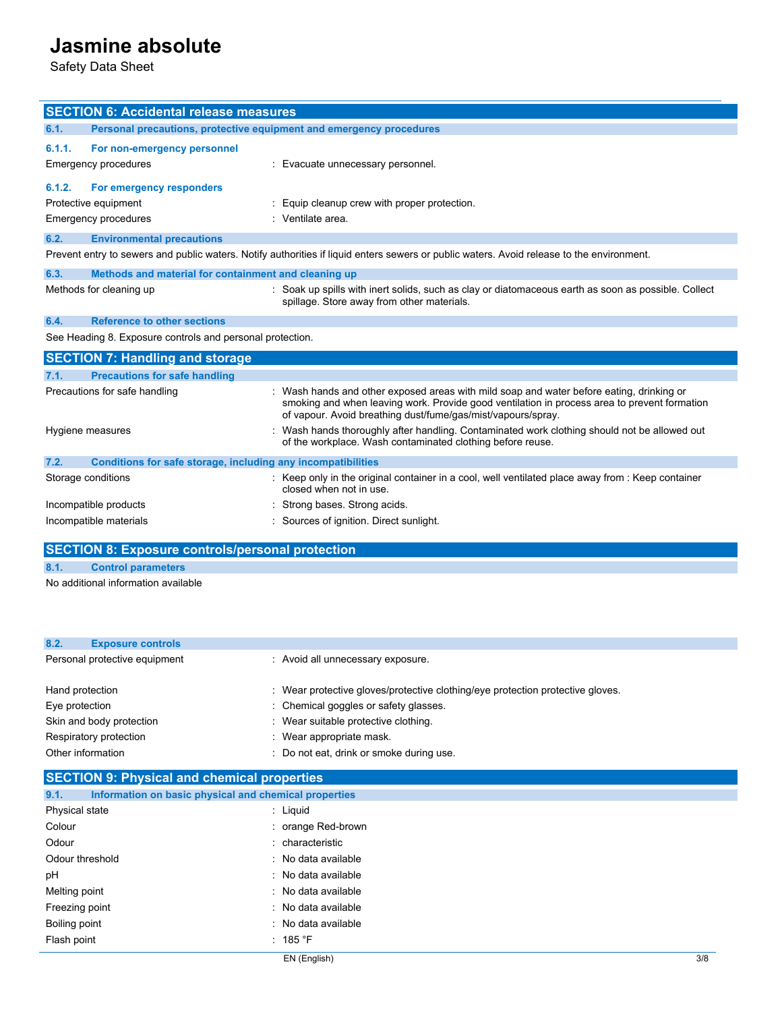Safety Data Sheet

| <b>SECTION 6: Accidental release measures</b>                        |                                                                                                                                                                                                                                                          |  |
|----------------------------------------------------------------------|----------------------------------------------------------------------------------------------------------------------------------------------------------------------------------------------------------------------------------------------------------|--|
| 6.1.                                                                 | Personal precautions, protective equipment and emergency procedures                                                                                                                                                                                      |  |
| 6.1.1.<br>For non-emergency personnel                                |                                                                                                                                                                                                                                                          |  |
| <b>Emergency procedures</b>                                          | : Evacuate unnecessary personnel.                                                                                                                                                                                                                        |  |
|                                                                      |                                                                                                                                                                                                                                                          |  |
| 6.1.2.<br>For emergency responders                                   |                                                                                                                                                                                                                                                          |  |
| Protective equipment                                                 | Equip cleanup crew with proper protection.                                                                                                                                                                                                               |  |
| <b>Emergency procedures</b>                                          | : Ventilate area.                                                                                                                                                                                                                                        |  |
| 6.2.<br><b>Environmental precautions</b>                             |                                                                                                                                                                                                                                                          |  |
|                                                                      | Prevent entry to sewers and public waters. Notify authorities if liquid enters sewers or public waters. Avoid release to the environment.                                                                                                                |  |
| 6.3.<br>Methods and material for containment and cleaning up         |                                                                                                                                                                                                                                                          |  |
| Methods for cleaning up                                              | : Soak up spills with inert solids, such as clay or diatomaceous earth as soon as possible. Collect<br>spillage. Store away from other materials.                                                                                                        |  |
| <b>Reference to other sections</b><br>6.4.                           |                                                                                                                                                                                                                                                          |  |
| See Heading 8. Exposure controls and personal protection.            |                                                                                                                                                                                                                                                          |  |
| <b>SECTION 7: Handling and storage</b>                               |                                                                                                                                                                                                                                                          |  |
| <b>Precautions for safe handling</b><br>7.1.                         |                                                                                                                                                                                                                                                          |  |
| Precautions for safe handling                                        | : Wash hands and other exposed areas with mild soap and water before eating, drinking or<br>smoking and when leaving work. Provide good ventilation in process area to prevent formation<br>of vapour. Avoid breathing dust/fume/gas/mist/vapours/spray. |  |
| Hygiene measures                                                     | : Wash hands thoroughly after handling. Contaminated work clothing should not be allowed out<br>of the workplace. Wash contaminated clothing before reuse.                                                                                               |  |
| Conditions for safe storage, including any incompatibilities<br>7.2. |                                                                                                                                                                                                                                                          |  |
| Storage conditions                                                   | : Keep only in the original container in a cool, well ventilated place away from : Keep container<br>closed when not in use.                                                                                                                             |  |
| Incompatible products                                                | : Strong bases. Strong acids.                                                                                                                                                                                                                            |  |
| Incompatible materials                                               | : Sources of ignition. Direct sunlight.                                                                                                                                                                                                                  |  |

### **SECTION 8: Exposure controls/personal protection**

**8.1. Control parameters**

No additional information available

| 8.2.              | <b>Exposure controls</b>      |                                                                                |
|-------------------|-------------------------------|--------------------------------------------------------------------------------|
|                   | Personal protective equipment | : Avoid all unnecessary exposure.                                              |
| Hand protection   |                               | : Wear protective gloves/protective clothing/eye protection protective gloves. |
| Eye protection    |                               | : Chemical goggles or safety glasses.                                          |
|                   | Skin and body protection      | : Wear suitable protective clothing.                                           |
|                   | Respiratory protection        | : Wear appropriate mask.                                                       |
| Other information |                               | Do not eat, drink or smoke during use.                                         |

|  | <b>SECTION 9: Physical and chemical properties</b> |  |
|--|----------------------------------------------------|--|
|--|----------------------------------------------------|--|

| 9.1.            | Information on basic physical and chemical properties |                     |
|-----------------|-------------------------------------------------------|---------------------|
| Physical state  |                                                       | : Liguid            |
| Colour          |                                                       | : orange Red-brown  |
| Odour           |                                                       | : characteristic    |
| Odour threshold |                                                       | : No data available |
| рH              |                                                       | : No data available |
| Melting point   |                                                       | : No data available |
| Freezing point  |                                                       | : No data available |
| Boiling point   |                                                       | : No data available |
| Flash point     |                                                       | : 185 °F            |
|                 |                                                       |                     |

EN (English) 3/8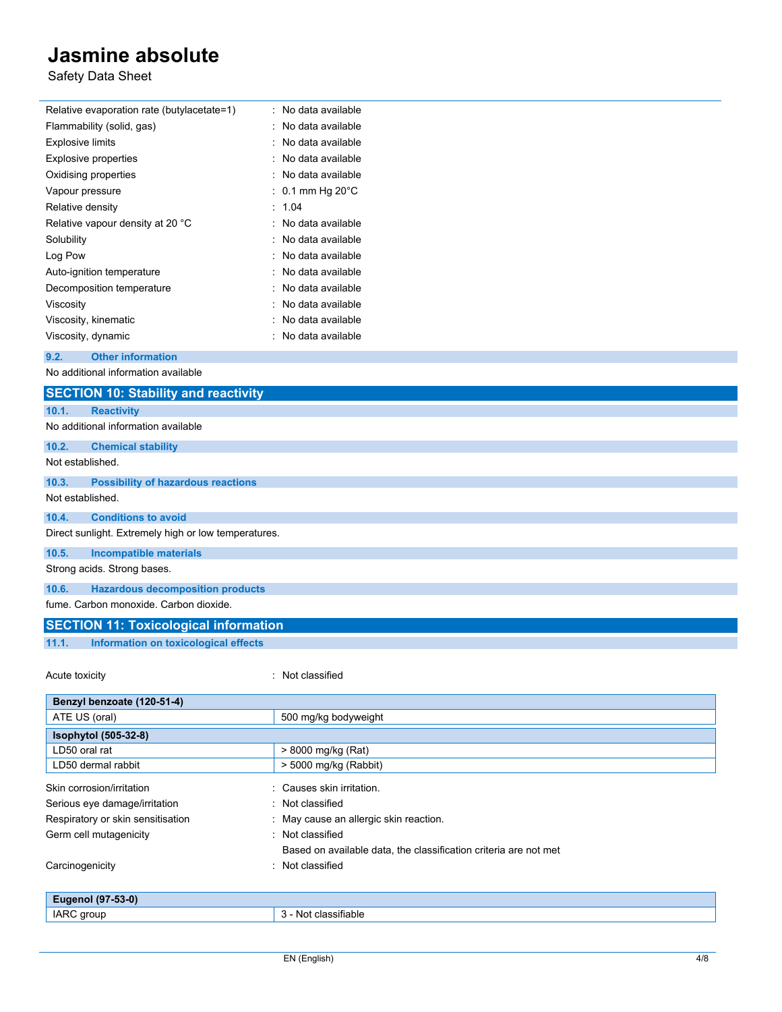Safety Data Sheet

| Relative evaporation rate (butylacetate=1)           | : No data available      |
|------------------------------------------------------|--------------------------|
| Flammability (solid, gas)                            | : No data available      |
| <b>Explosive limits</b>                              | : No data available      |
| <b>Explosive properties</b>                          | : No data available      |
| Oxidising properties                                 | : No data available      |
| Vapour pressure                                      | 0.1 mm Hg $20^{\circ}$ C |
| Relative density                                     | 1.04<br>٠                |
| Relative vapour density at 20 °C                     | No data available        |
| Solubility                                           | No data available        |
| Log Pow                                              | No data available        |
| Auto-ignition temperature                            | No data available        |
| Decomposition temperature                            | No data available        |
| Viscosity                                            | No data available        |
| Viscosity, kinematic                                 | No data available        |
| Viscosity, dynamic                                   | No data available        |
| 9.2.<br><b>Other information</b>                     |                          |
| No additional information available                  |                          |
| <b>SECTION 10: Stability and reactivity</b>          |                          |
| 10.1.<br><b>Reactivity</b>                           |                          |
| No additional information available                  |                          |
| 10.2.<br><b>Chemical stability</b>                   |                          |
| Not established.                                     |                          |
| 10.3.<br><b>Possibility of hazardous reactions</b>   |                          |
| Not established.                                     |                          |
| 10.4.<br><b>Conditions to avoid</b>                  |                          |
| Direct sunlight. Extremely high or low temperatures. |                          |
| <b>Incompatible materials</b><br>10.5.               |                          |
| Strong acids. Strong bases.                          |                          |
| 10.6.<br><b>Hazardous decomposition products</b>     |                          |
| fume. Carbon monoxide. Carbon dioxide.               |                          |
|                                                      |                          |
| <b>SECTION 11: Toxicological information</b>         |                          |
| 11.1.<br>Information on toxicological effects        |                          |
|                                                      |                          |
| Acute toxicity                                       | : Not classified         |

| Benzyl benzoate (120-51-4)        |                                                                  |
|-----------------------------------|------------------------------------------------------------------|
| ATE US (oral)                     | 500 mg/kg bodyweight                                             |
| <b>Isophytol</b> (505-32-8)       |                                                                  |
| LD50 oral rat                     | > 8000 mg/kg (Rat)                                               |
| LD50 dermal rabbit                | $>$ 5000 mg/kg (Rabbit)                                          |
| Skin corrosion/irritation         | : Causes skin irritation.                                        |
| Serious eye damage/irritation     | : Not classified                                                 |
| Respiratory or skin sensitisation | : May cause an allergic skin reaction.                           |
| Germ cell mutagenicity            | : Not classified                                                 |
|                                   | Based on available data, the classification criteria are not met |
| Carcinogenicity                   | : Not classified                                                 |
|                                   |                                                                  |
| Eugenol (97-53-0)                 |                                                                  |
| IARC group                        | 3 - Not classifiable                                             |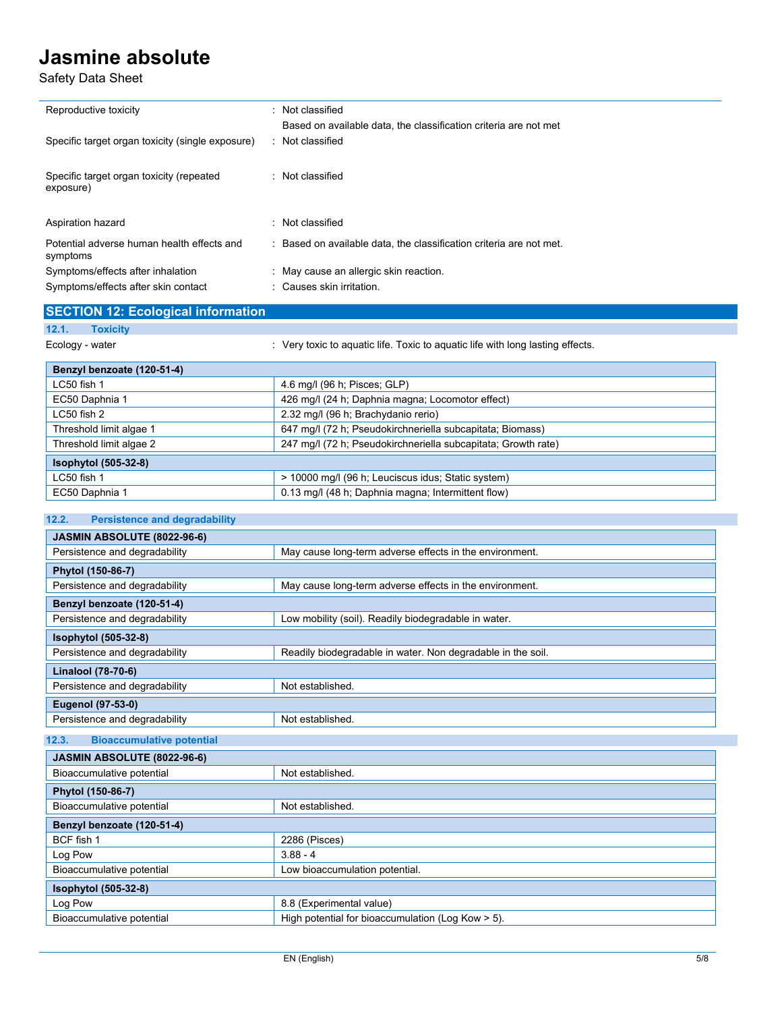Safety Data Sheet

 $\overline{a}$ 

| Reproductive toxicity                                  | : Not classified                                                                     |
|--------------------------------------------------------|--------------------------------------------------------------------------------------|
| Specific target organ toxicity (single exposure)       | Based on available data, the classification criteria are not met<br>: Not classified |
| Specific target organ toxicity (repeated<br>exposure)  | : Not classified                                                                     |
| Aspiration hazard                                      | : Not classified                                                                     |
| Potential adverse human health effects and<br>symptoms | : Based on available data, the classification criteria are not met.                  |
| Symptoms/effects after inhalation                      | : May cause an allergic skin reaction.                                               |
| Symptoms/effects after skin contact                    | : Causes skin irritation.                                                            |

|                 | <b>SECTION 12: Ecological information</b> |                                                                                |
|-----------------|-------------------------------------------|--------------------------------------------------------------------------------|
| 12.1.           | <b>Toxicity</b>                           |                                                                                |
| Ecology - water |                                           | : Very toxic to aguatic life. Toxic to aguatic life with long lasting effects. |
|                 | Benzyl benzoate (120-51-4)                |                                                                                |
| $1.050E + L$    |                                           | $10.7100$ $10.7100$ $10.7100$                                                  |

| LC50 fish 1             | 4.6 mg/l (96 h; Pisces; GLP)                                  |
|-------------------------|---------------------------------------------------------------|
| EC50 Daphnia 1          | 426 mg/l (24 h; Daphnia magna; Locomotor effect)              |
| LC50 fish 2             | 2.32 mg/l (96 h; Brachydanio rerio)                           |
| Threshold limit algae 1 | 647 mg/l (72 h; Pseudokirchneriella subcapitata; Biomass)     |
| Threshold limit algae 2 | 247 mg/l (72 h; Pseudokirchneriella subcapitata; Growth rate) |
| Isophytol (505-32-8)    |                                                               |
| LC50 fish 1             | > 10000 mg/l (96 h; Leuciscus idus; Static system)            |
| EC50 Daphnia 1          | 0.13 mg/l (48 h; Daphnia magna; Intermittent flow)            |

| 12.2.<br><b>Persistence and degradability</b> |                                                             |
|-----------------------------------------------|-------------------------------------------------------------|
| JASMIN ABSOLUTE (8022-96-6)                   |                                                             |
| Persistence and degradability                 | May cause long-term adverse effects in the environment.     |
| Phytol (150-86-7)                             |                                                             |
| Persistence and degradability                 | May cause long-term adverse effects in the environment.     |
| Benzyl benzoate (120-51-4)                    |                                                             |
| Persistence and degradability                 | Low mobility (soil). Readily biodegradable in water.        |
| Isophytol (505-32-8)                          |                                                             |
| Persistence and degradability                 | Readily biodegradable in water. Non degradable in the soil. |
| Linalool (78-70-6)                            |                                                             |
| Persistence and degradability                 | Not established.                                            |
| Eugenol (97-53-0)                             |                                                             |
| Persistence and degradability                 | Not established.                                            |
| 12.3.<br><b>Bioaccumulative potential</b>     |                                                             |
| JASMIN ABSOLUTE (8022-96-6)                   |                                                             |
| Bioaccumulative potential                     | Not established.                                            |
| Phytol (150-86-7)                             |                                                             |
| Bioaccumulative potential                     | Not established.                                            |
| Benzyl benzoate (120-51-4)                    |                                                             |
| BCF fish 1                                    | 2286 (Pisces)                                               |
| Log Pow                                       | $3.88 - 4$                                                  |
| Bioaccumulative potential                     | Low bioaccumulation potential.                              |
| Isophytol (505-32-8)                          |                                                             |
| Log Pow                                       | 8.8 (Experimental value)                                    |
| Bioaccumulative potential                     | High potential for bioaccumulation (Log Kow > 5).           |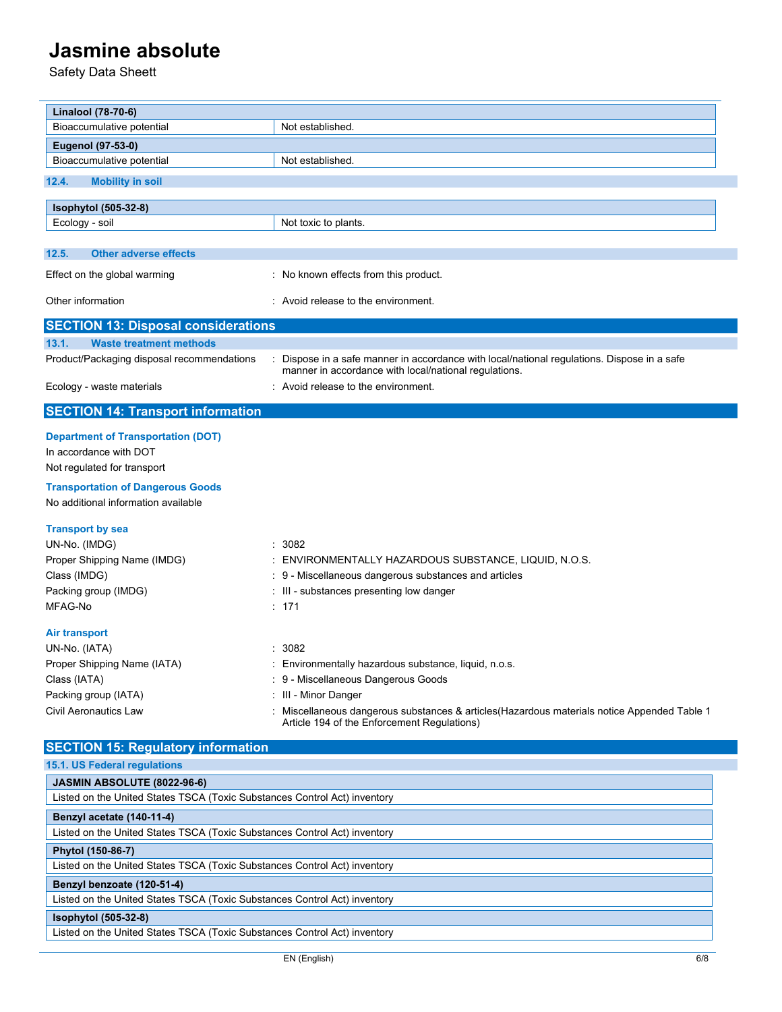Safety Data Sheett

| Linalool (78-70-6)                                                        |                                                                                                                                                      |
|---------------------------------------------------------------------------|------------------------------------------------------------------------------------------------------------------------------------------------------|
| Bioaccumulative potential                                                 | Not established.                                                                                                                                     |
| Eugenol (97-53-0)                                                         |                                                                                                                                                      |
| Bioaccumulative potential                                                 | Not established.                                                                                                                                     |
| 12.4.<br><b>Mobility in soil</b>                                          |                                                                                                                                                      |
| <b>Isophytol</b> (505-32-8)                                               |                                                                                                                                                      |
| Ecology - soil                                                            | Not toxic to plants.                                                                                                                                 |
|                                                                           |                                                                                                                                                      |
| 12.5.<br><b>Other adverse effects</b>                                     |                                                                                                                                                      |
| Effect on the global warming                                              | : No known effects from this product.                                                                                                                |
| Other information                                                         | : Avoid release to the environment.                                                                                                                  |
| <b>SECTION 13: Disposal considerations</b>                                |                                                                                                                                                      |
| 13.1.<br><b>Waste treatment methods</b>                                   |                                                                                                                                                      |
| Product/Packaging disposal recommendations                                | : Dispose in a safe manner in accordance with local/national regulations. Dispose in a safe<br>manner in accordance with local/national regulations. |
| Ecology - waste materials                                                 | : Avoid release to the environment.                                                                                                                  |
| <b>SECTION 14: Transport information</b>                                  |                                                                                                                                                      |
| <b>Department of Transportation (DOT)</b>                                 |                                                                                                                                                      |
| In accordance with DOT                                                    |                                                                                                                                                      |
| Not regulated for transport                                               |                                                                                                                                                      |
| <b>Transportation of Dangerous Goods</b>                                  |                                                                                                                                                      |
| No additional information available                                       |                                                                                                                                                      |
| <b>Transport by sea</b>                                                   |                                                                                                                                                      |
| UN-No. (IMDG)                                                             | 3082<br>$\cdot$                                                                                                                                      |
| Proper Shipping Name (IMDG)                                               | ENVIRONMENTALLY HAZARDOUS SUBSTANCE, LIQUID, N.O.S.                                                                                                  |
| Class (IMDG)                                                              | 9 - Miscellaneous dangerous substances and articles                                                                                                  |
| Packing group (IMDG)                                                      | III - substances presenting low danger                                                                                                               |
| MFAG-No                                                                   | : 171                                                                                                                                                |
| Air transport                                                             |                                                                                                                                                      |
| UN-No. (IATA)                                                             | 3082                                                                                                                                                 |
| Proper Shipping Name (IATA)                                               | Environmentally hazardous substance, liquid, n.o.s.                                                                                                  |
| Class (IATA)                                                              | : 9 - Miscellaneous Dangerous Goods                                                                                                                  |
| Packing group (IATA)                                                      | : III - Minor Danger                                                                                                                                 |
| Civil Aeronautics Law                                                     | Miscellaneous dangerous substances & articles(Hazardous materials notice Appended Table 1<br>Article 194 of the Enforcement Regulations)             |
| <b>SECTION 15: Regulatory information</b>                                 |                                                                                                                                                      |
| 15.1. US Federal regulations                                              |                                                                                                                                                      |
| JASMIN ABSOLUTE (8022-96-6)                                               |                                                                                                                                                      |
| Listed on the United States TSCA (Toxic Substances Control Act) inventory |                                                                                                                                                      |
| Benzyl acetate (140-11-4)                                                 |                                                                                                                                                      |
| Listed on the United States TSCA (Toxic Substances Control Act) inventory |                                                                                                                                                      |
| Phytol (150-86-7)                                                         |                                                                                                                                                      |
| Listed on the United States TSCA (Toxic Substances Control Act) inventory |                                                                                                                                                      |
| Benzyl benzoate (120-51-4)                                                |                                                                                                                                                      |
| Listed on the United States TSCA (Toxic Substances Control Act) inventory |                                                                                                                                                      |
| Isophytol (505-32-8)                                                      |                                                                                                                                                      |
| Listed on the United States TSCA (Toxic Substances Control Act) inventory |                                                                                                                                                      |
|                                                                           | EN (English)<br>6/8                                                                                                                                  |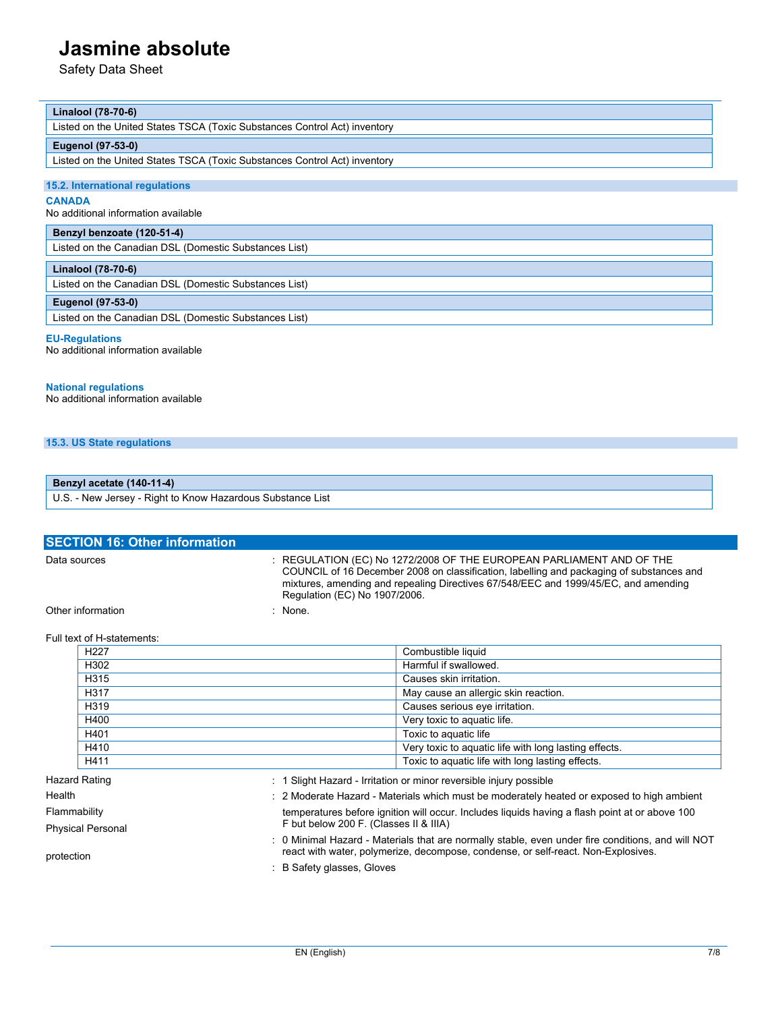Safety Data Sheet

#### **Linalool (78-70-6)**

Listed on the United States TSCA (Toxic Substances Control Act) inventory

#### **Eugenol (97-53-0)**

Listed on the United States TSCA (Toxic Substances Control Act) inventory

#### **15.2. International regulations**

#### **CANADA**

No additional information available

#### **Benzyl benzoate (120-51-4)**

Listed on the Canadian DSL (Domestic Substances List)

#### **Linalool (78-70-6)**

Listed on the Canadian DSL (Domestic Substances List)

#### **Eugenol (97-53-0)**

Listed on the Canadian DSL (Domestic Substances List)

#### **EU-Regulations**

No additional information available

#### **National regulations**

No additional information available

**15.3. US State regulations**

#### **Benzyl acetate (140-11-4)**

U.S. - New Jersey - Right to Know Hazardous Substance List

| <b>SECTION 16: Other information</b> |                                                                                                                                                                                                                                                                                              |
|--------------------------------------|----------------------------------------------------------------------------------------------------------------------------------------------------------------------------------------------------------------------------------------------------------------------------------------------|
| Data sources                         | $\pm$ REGULATION (EC) No 1272/2008 OF THE EUROPEAN PARLIAMENT AND OF THE<br>COUNCIL of 16 December 2008 on classification, labelling and packaging of substances and<br>mixtures, amending and repealing Directives 67/548/EEC and 1999/45/EC, and amending<br>Regulation (EC) No 1907/2006. |
| Other information                    | None.                                                                                                                                                                                                                                                                                        |

#### Full text of H-statements:

protection

|                                          | H <sub>227</sub> | Combustible liquid                                                                             |  |  |
|------------------------------------------|------------------|------------------------------------------------------------------------------------------------|--|--|
|                                          | H302             | Harmful if swallowed.                                                                          |  |  |
|                                          | H315             | Causes skin irritation.                                                                        |  |  |
|                                          | H317             | May cause an allergic skin reaction.                                                           |  |  |
|                                          | H319             | Causes serious eye irritation.                                                                 |  |  |
|                                          | H400             | Very toxic to aquatic life.                                                                    |  |  |
|                                          | H401             | Toxic to aquatic life                                                                          |  |  |
|                                          | H410             | Very toxic to aquatic life with long lasting effects.                                          |  |  |
|                                          | H411             | Toxic to aquatic life with long lasting effects.                                               |  |  |
|                                          | Hazard Rating    | : 1 Slight Hazard - Irritation or minor reversible injury possible                             |  |  |
| Health                                   |                  | : 2 Moderate Hazard - Materials which must be moderately heated or exposed to high ambient     |  |  |
| Flammability<br><b>Physical Personal</b> |                  | temperatures before ignition will occur. Includes liquids having a flash point at or above 100 |  |  |
|                                          |                  | F but below 200 F. (Classes II & IIIA)                                                         |  |  |

: 0 Minimal Hazard - Materials that are normally stable, even under fire conditions, and will NOT react with water, polymerize, decompose, condense, or self-react. Non-Explosives.

: B Safety glasses, Gloves